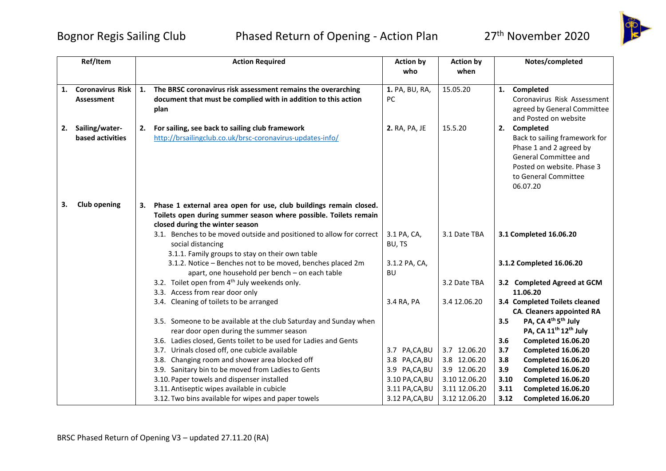## Bognor Regis Sailing Club Phased Return of Opening - Action Plan 27<sup>th</sup> November 2020



|    | Ref/Item                |    | <b>Action Required</b>                                               | <b>Action by</b> | <b>Action by</b> |      | Notes/completed                                     |
|----|-------------------------|----|----------------------------------------------------------------------|------------------|------------------|------|-----------------------------------------------------|
|    |                         |    |                                                                      | who              | when             |      |                                                     |
|    |                         |    |                                                                      |                  |                  |      |                                                     |
| 1. | <b>Coronavirus Risk</b> | 1. | The BRSC coronavirus risk assessment remains the overarching         | 1. PA, BU, RA,   | 15.05.20         |      | 1. Completed                                        |
|    | <b>Assessment</b>       |    | document that must be complied with in addition to this action       | <b>PC</b>        |                  |      | Coronavirus Risk Assessment                         |
|    |                         |    | plan                                                                 |                  |                  |      | agreed by General Committee                         |
|    |                         |    |                                                                      |                  |                  |      | and Posted on website                               |
| 2. | Sailing/water-          | 2. | For sailing, see back to sailing club framework                      | 2. RA, PA, JE    | 15.5.20          |      | 2. Completed                                        |
|    | based activities        |    | http://brsailingclub.co.uk/brsc-coronavirus-updates-info/            |                  |                  |      | Back to sailing framework for                       |
|    |                         |    |                                                                      |                  |                  |      | Phase 1 and 2 agreed by                             |
|    |                         |    |                                                                      |                  |                  |      | General Committee and<br>Posted on website. Phase 3 |
|    |                         |    |                                                                      |                  |                  |      | to General Committee                                |
|    |                         |    |                                                                      |                  |                  |      | 06.07.20                                            |
|    |                         |    |                                                                      |                  |                  |      |                                                     |
| 3. | <b>Club opening</b>     |    | Phase 1 external area open for use, club buildings remain closed.    |                  |                  |      |                                                     |
|    |                         |    | Toilets open during summer season where possible. Toilets remain     |                  |                  |      |                                                     |
|    |                         |    | closed during the winter season                                      |                  |                  |      |                                                     |
|    |                         |    | 3.1. Benches to be moved outside and positioned to allow for correct | 3.1 PA, CA,      | 3.1 Date TBA     |      | 3.1 Completed 16.06.20                              |
|    |                         |    | social distancing                                                    | BU, TS           |                  |      |                                                     |
|    |                         |    | 3.1.1. Family groups to stay on their own table                      |                  |                  |      |                                                     |
|    |                         |    | 3.1.2. Notice - Benches not to be moved, benches placed 2m           | 3.1.2 PA, CA,    |                  |      | 3.1.2 Completed 16.06.20                            |
|    |                         |    | apart, one household per bench - on each table                       | BU               |                  |      |                                                     |
|    |                         |    | 3.2. Toilet open from 4 <sup>th</sup> July weekends only.            |                  | 3.2 Date TBA     |      | 3.2 Completed Agreed at GCM                         |
|    |                         |    | 3.3. Access from rear door only                                      |                  |                  |      | 11.06.20                                            |
|    |                         |    | 3.4. Cleaning of toilets to be arranged                              | 3.4 RA, PA       | 3.4 12.06.20     |      | 3.4 Completed Toilets cleaned                       |
|    |                         |    |                                                                      |                  |                  |      | <b>CA. Cleaners appointed RA</b>                    |
|    |                         |    | 3.5. Someone to be available at the club Saturday and Sunday when    |                  |                  | 3.5  | PA, CA 4 <sup>th</sup> 5 <sup>th</sup> July         |
|    |                         |    | rear door open during the summer season                              |                  |                  |      | PA, CA 11 <sup>th</sup> 12 <sup>th</sup> July       |
|    |                         |    | 3.6. Ladies closed, Gents toilet to be used for Ladies and Gents     |                  |                  | 3.6  | Completed 16.06.20                                  |
|    |                         |    | 3.7. Urinals closed off, one cubicle available                       | 3.7 PA,CA,BU     | 3.7 12.06.20     | 3.7  | Completed 16.06.20                                  |
|    |                         |    | 3.8. Changing room and shower area blocked off                       | 3.8 PA,CA,BU     | 3.8 12.06.20     | 3.8  | Completed 16.06.20                                  |
|    |                         |    | 3.9. Sanitary bin to be moved from Ladies to Gents                   | 3.9 PA,CA,BU     | 3.9 12.06.20     | 3.9  | Completed 16.06.20                                  |
|    |                         |    | 3.10. Paper towels and dispenser installed                           | 3.10 PA, CA, BU  | 3.10 12.06.20    | 3.10 | Completed 16.06.20                                  |
|    |                         |    | 3.11. Antiseptic wipes available in cubicle                          | 3.11 PA, CA, BU  | 3.11 12.06.20    | 3.11 | Completed 16.06.20                                  |
|    |                         |    | 3.12. Two bins available for wipes and paper towels                  | 3.12 PA, CA, BU  | 3.12 12.06.20    | 3.12 | Completed 16.06.20                                  |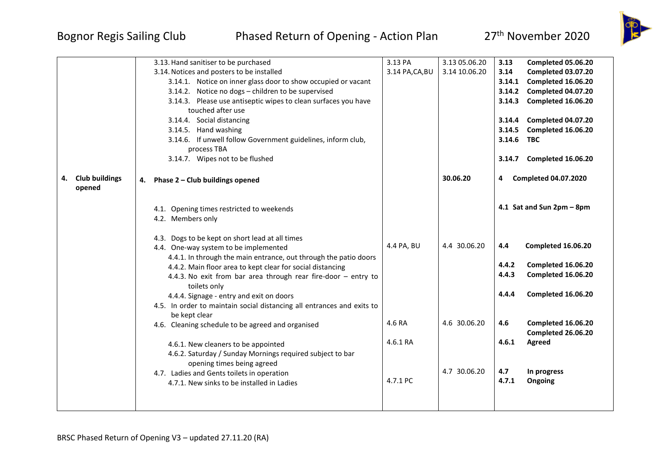## Bognor Regis Sailing Club Phased Return of Opening - Action Plan 27<sup>th</sup> November 2020



|                                       | 3.13. Hand sanitiser to be purchased                                           | 3.13 PA         | 3.13 05.06.20 | 3.13       | Completed 05.06.20          |
|---------------------------------------|--------------------------------------------------------------------------------|-----------------|---------------|------------|-----------------------------|
|                                       | 3.14. Notices and posters to be installed                                      | 3.14 PA, CA, BU | 3.14 10.06.20 | 3.14       | Completed 03.07.20          |
|                                       | 3.14.1. Notice on inner glass door to show occupied or vacant                  |                 |               | 3.14.1     | Completed 16.06.20          |
|                                       | 3.14.2. Notice no dogs - children to be supervised                             |                 |               | 3.14.2     | Completed 04.07.20          |
|                                       | 3.14.3. Please use antiseptic wipes to clean surfaces you have                 |                 |               | 3.14.3     | Completed 16.06.20          |
|                                       | touched after use                                                              |                 |               |            |                             |
|                                       | 3.14.4. Social distancing                                                      |                 |               | 3.14.4     | Completed 04.07.20          |
|                                       | 3.14.5. Hand washing                                                           |                 |               | 3.14.5     | Completed 16.06.20          |
|                                       | 3.14.6. If unwell follow Government guidelines, inform club,                   |                 |               | 3.14.6 TBC |                             |
|                                       | process TBA                                                                    |                 |               |            |                             |
|                                       | 3.14.7. Wipes not to be flushed                                                |                 |               |            | 3.14.7 Completed 16.06.20   |
| <b>Club buildings</b><br>4.<br>opened | Phase 2 - Club buildings opened<br>4.                                          |                 | 30.06.20      | 4          | <b>Completed 04.07.2020</b> |
|                                       | 4.1. Opening times restricted to weekends                                      |                 |               |            | 4.1 Sat and Sun 2pm - 8pm   |
|                                       | 4.2. Members only                                                              |                 |               |            |                             |
|                                       |                                                                                |                 |               |            |                             |
|                                       | 4.3. Dogs to be kept on short lead at all times                                |                 |               |            |                             |
|                                       | 4.4. One-way system to be implemented                                          | 4.4 PA, BU      | 4.4 30.06.20  | 4.4        | Completed 16.06.20          |
|                                       | 4.4.1. In through the main entrance, out through the patio doors               |                 |               |            |                             |
|                                       | 4.4.2. Main floor area to kept clear for social distancing                     |                 |               | 4.4.2      | Completed 16.06.20          |
|                                       | 4.4.3. No exit from bar area through rear fire-door - entry to<br>toilets only |                 |               | 4.4.3      | Completed 16.06.20          |
|                                       | 4.4.4. Signage - entry and exit on doors                                       |                 |               | 4.4.4      | Completed 16.06.20          |
|                                       | 4.5. In order to maintain social distancing all entrances and exits to         |                 |               |            |                             |
|                                       | be kept clear                                                                  |                 |               |            |                             |
|                                       | 4.6. Cleaning schedule to be agreed and organised                              | 4.6 RA          | 4.6 30.06.20  | 4.6        | Completed 16.06.20          |
|                                       |                                                                                |                 |               |            | Completed 26.06.20          |
|                                       | 4.6.1. New cleaners to be appointed                                            | 4.6.1 RA        |               | 4.6.1      | Agreed                      |
|                                       | 4.6.2. Saturday / Sunday Mornings required subject to bar                      |                 |               |            |                             |
|                                       | opening times being agreed                                                     |                 |               |            |                             |
|                                       | 4.7. Ladies and Gents toilets in operation                                     |                 | 4.7 30.06.20  | 4.7        | In progress                 |
|                                       | 4.7.1. New sinks to be installed in Ladies                                     | 4.7.1 PC        |               | 4.7.1      | Ongoing                     |
|                                       |                                                                                |                 |               |            |                             |
|                                       |                                                                                |                 |               |            |                             |
|                                       |                                                                                |                 |               |            |                             |

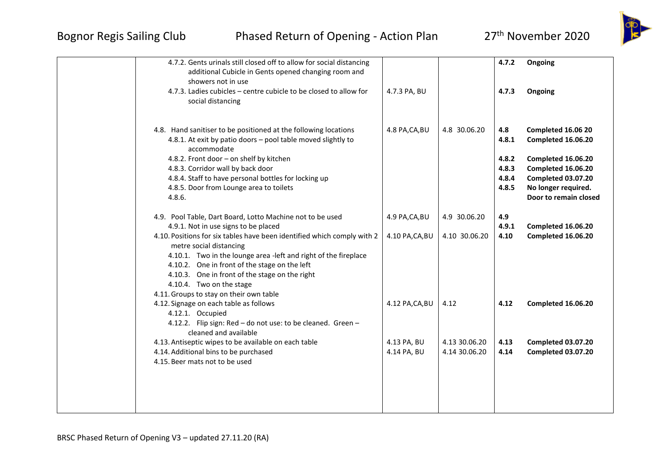## Bognor Regis Sailing Club Phased Return of Opening - Action Plan 27<sup>th</sup> November 2020





| 4.7.2. Gents urinals still closed off to allow for social distancing<br>additional Cubicle in Gents opened changing room and<br>showers not in use<br>4.7.3. Ladies cubicles – centre cubicle to be closed to allow for<br>social distancing                                           | 4.7.3 PA, BU                      |                                | 4.7.2<br>4.7.3                          | Ongoing<br>Ongoing                                                                                         |
|----------------------------------------------------------------------------------------------------------------------------------------------------------------------------------------------------------------------------------------------------------------------------------------|-----------------------------------|--------------------------------|-----------------------------------------|------------------------------------------------------------------------------------------------------------|
| 4.8. Hand sanitiser to be positioned at the following locations<br>4.8.1. At exit by patio doors - pool table moved slightly to<br>accommodate<br>4.8.2. Front door - on shelf by kitchen<br>4.8.3. Corridor wall by back door<br>4.8.4. Staff to have personal bottles for locking up | 4.8 PA, CA, BU                    | 4.8 30.06.20                   | 4.8<br>4.8.1<br>4.8.2<br>4.8.3<br>4.8.4 | Completed 16.06 20<br>Completed 16.06.20<br>Completed 16.06.20<br>Completed 16.06.20<br>Completed 03.07.20 |
| 4.8.5. Door from Lounge area to toilets<br>4.8.6.                                                                                                                                                                                                                                      |                                   |                                | 4.8.5                                   | No longer required.<br>Door to remain closed                                                               |
| 4.9. Pool Table, Dart Board, Lotto Machine not to be used<br>4.9.1. Not in use signs to be placed<br>4.10. Positions for six tables have been identified which comply with 2                                                                                                           | 4.9 PA, CA, BU<br>4.10 PA, CA, BU | 4.9 30.06.20<br>4.10 30.06.20  | 4.9<br>4.9.1<br>4.10                    | Completed 16.06.20<br>Completed 16.06.20                                                                   |
| metre social distancing<br>4.10.1. Two in the lounge area -left and right of the fireplace<br>4.10.2. One in front of the stage on the left<br>4.10.3. One in front of the stage on the right<br>4.10.4. Two on the stage<br>4.11. Groups to stay on their own table                   |                                   |                                |                                         |                                                                                                            |
| 4.12. Signage on each table as follows<br>4.12.1. Occupied<br>4.12.2. Flip sign: Red - do not use: to be cleaned. Green -<br>cleaned and available                                                                                                                                     | 4.12 PA, CA, BU                   | 4.12                           | 4.12                                    | Completed 16.06.20                                                                                         |
| 4.13. Antiseptic wipes to be available on each table<br>4.14. Additional bins to be purchased<br>4.15. Beer mats not to be used                                                                                                                                                        | 4.13 PA, BU<br>4.14 PA, BU        | 4.13 30.06.20<br>4.14 30.06.20 | 4.13<br>4.14                            | Completed 03.07.20<br>Completed 03.07.20                                                                   |
|                                                                                                                                                                                                                                                                                        |                                   |                                |                                         |                                                                                                            |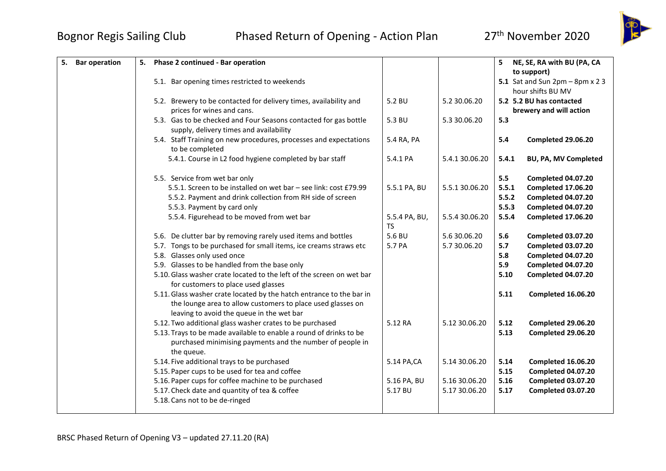

| <b>Bar operation</b><br>5. | Phase 2 continued - Bar operation<br>5.                                                                                                                                          |                     |                | 5.<br>NE, SE, RA with BU (PA, CA      |
|----------------------------|----------------------------------------------------------------------------------------------------------------------------------------------------------------------------------|---------------------|----------------|---------------------------------------|
|                            |                                                                                                                                                                                  |                     |                | to support)                           |
|                            | 5.1. Bar opening times restricted to weekends                                                                                                                                    |                     |                | 5.1 Sat and Sun $2pm - 8pm \times 23$ |
|                            |                                                                                                                                                                                  |                     |                | hour shifts BU MV                     |
|                            | 5.2. Brewery to be contacted for delivery times, availability and                                                                                                                | 5.2 BU              | 5.2 30.06.20   | 5.2 5.2 BU has contacted              |
|                            | prices for wines and cans.                                                                                                                                                       |                     |                | brewery and will action               |
|                            | 5.3. Gas to be checked and Four Seasons contacted for gas bottle                                                                                                                 | 5.3 BU              | 5.3 30.06.20   | 5.3                                   |
|                            | supply, delivery times and availability                                                                                                                                          |                     |                |                                       |
|                            | 5.4. Staff Training on new procedures, processes and expectations<br>to be completed                                                                                             | 5.4 RA, PA          |                | 5.4<br>Completed 29.06.20             |
|                            | 5.4.1. Course in L2 food hygiene completed by bar staff                                                                                                                          | 5.4.1 PA            | 5.4.1 30.06.20 | 5.4.1<br><b>BU, PA, MV Completed</b>  |
|                            | 5.5. Service from wet bar only                                                                                                                                                   |                     |                | 5.5<br><b>Completed 04.07.20</b>      |
|                            | 5.5.1. Screen to be installed on wet bar - see link: cost £79.99                                                                                                                 | 5.5.1 PA, BU        | 5.5.1 30.06.20 | 5.5.1<br>Completed 17.06.20           |
|                            | 5.5.2. Payment and drink collection from RH side of screen                                                                                                                       |                     |                | 5.5.2<br>Completed 04.07.20           |
|                            | 5.5.3. Payment by card only                                                                                                                                                      |                     |                | 5.5.3<br><b>Completed 04.07.20</b>    |
|                            | 5.5.4. Figurehead to be moved from wet bar                                                                                                                                       | 5.5.4 PA, BU,<br>TS | 5.5.4 30.06.20 | 5.5.4<br>Completed 17.06.20           |
|                            | 5.6. De clutter bar by removing rarely used items and bottles                                                                                                                    | 5.6 BU              | 5.6 30.06.20   | 5.6<br><b>Completed 03.07.20</b>      |
|                            | 5.7. Tongs to be purchased for small items, ice creams straws etc                                                                                                                | 5.7 PA              | 5.7 30.06.20   | 5.7<br>Completed 03.07.20             |
|                            | 5.8. Glasses only used once                                                                                                                                                      |                     |                | 5.8<br>Completed 04.07.20             |
|                            | 5.9. Glasses to be handled from the base only                                                                                                                                    |                     |                | 5.9<br><b>Completed 04.07.20</b>      |
|                            | 5.10. Glass washer crate located to the left of the screen on wet bar<br>for customers to place used glasses                                                                     |                     |                | 5.10<br>Completed 04.07.20            |
|                            | 5.11. Glass washer crate located by the hatch entrance to the bar in<br>the lounge area to allow customers to place used glasses on<br>leaving to avoid the queue in the wet bar |                     |                | 5.11<br><b>Completed 16.06.20</b>     |
|                            | 5.12. Two additional glass washer crates to be purchased                                                                                                                         | 5.12 RA             | 5.12 30.06.20  | 5.12<br>Completed 29.06.20            |
|                            | 5.13. Trays to be made available to enable a round of drinks to be<br>purchased minimising payments and the number of people in<br>the queue.                                    |                     |                | 5.13<br>Completed 29.06.20            |
|                            | 5.14. Five additional trays to be purchased                                                                                                                                      | 5.14 PA, CA         | 5.14 30.06.20  | 5.14<br>Completed 16.06.20            |
|                            | 5.15. Paper cups to be used for tea and coffee                                                                                                                                   |                     |                | 5.15<br>Completed 04.07.20            |
|                            | 5.16. Paper cups for coffee machine to be purchased                                                                                                                              | 5.16 PA, BU         | 5.16 30.06.20  | 5.16<br>Completed 03.07.20            |
|                            | 5.17. Check date and quantity of tea & coffee                                                                                                                                    | 5.17 BU             | 5.17 30.06.20  | 5.17<br>Completed 03.07.20            |
|                            | 5.18. Cans not to be de-ringed                                                                                                                                                   |                     |                |                                       |